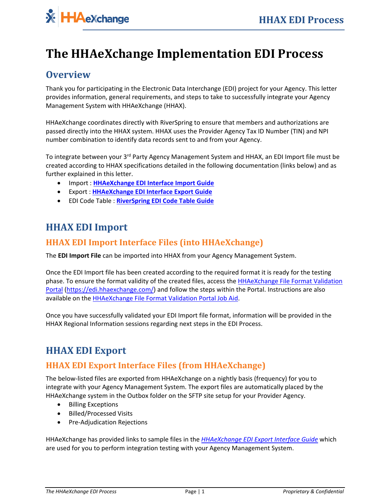# **HAeXchange**

# **The HHAeXchange Implementation EDI Process**

## **Overview**

Thank you for participating in the Electronic Data Interchange (EDI) project for your Agency. This letter provides information, general requirements, and steps to take to successfully integrate your Agency Management System with HHAeXchange (HHAX).

HHAeXchange coordinates directly with RiverSpring to ensure that members and authorizations are passed directly into the HHAX system. HHAX uses the Provider Agency Tax ID Number (TIN) and NPI number combination to identify data records sent to and from your Agency.

To integrate between your 3<sup>rd</sup> Party Agency Management System and HHAX, an EDI Import file must be created according to HHAX specifications detailed in the following documentation (links below) and as further explained in this letter.

- Import : **[HHAeXchange EDI Interface Import Guide](http://hhaxsupport.s3.amazonaws.com/SupportDocs/EDI%20Guides/EDI%20Guides_v5/Homecare_Provider_Integration_Visit_Import_Guide_v5.pdf)**
- Export : **[HHAeXchange EDI Interface Export Guide](https://hhaxsupport.s3.amazonaws.com/SupportDocs/EDI+Guides/EDI+Guides_v5/Homecare+EDI+Export+Interface+Guide_v5.pdf)**
- EDI Code Table : **RiverSpring [EDI Code Table Guide](https://hhaxsupport.s3.amazonaws.com/SupportDocs/EDI+Guides/EDI+Code+Table+Guides/EDI+Code+Table+Guide_RiverSpring_NY.pdf)**

# **HHAX EDI Import**

#### **HHAX EDI Import Interface Files (into HHAeXchange)**

The **EDI Import File** can be imported into HHAX from your Agency Management System.

Once the EDI Import file has been created according to the required format it is ready for the testing phase. To ensure the format validity of the created files, access the **HHAeXchange File Format Validation** [Portal](https://edi.hhaexchange.com/) [\(https://edi.hhaexchange.com/\)](https://edi.hhaexchange.com/) and follow the steps within the Portal. Instructions are also available on th[e HHAeXchange File Format Validation Portal Job Aid.](https://s3.amazonaws.com/hhaxsupport/SupportDocs/EDI+Guides/Provider+Job+Aid+-+EDI+File+Format+Validation+Portal.pdf)

Once you have successfully validated your EDI Import file format, information will be provided in the HHAX Regional Information sessions regarding next steps in the EDI Process.

# **HHAX EDI Export**

#### **HHAX EDI Export Interface Files (from HHAeXchange)**

The below-listed files are exported from HHAeXchange on a nightly basis (frequency) for you to integrate with your Agency Management System. The export files are automatically placed by the HHAeXchange system in the Outbox folder on the SFTP site setup for your Provider Agency.

- Billing Exceptions
- Billed/Processed Visits
- Pre-Adjudication Rejections

HHAeXchange has provided links to sample files in the *[HHAeXchange EDI Export Interface Guide](https://hhaxsupport.s3.amazonaws.com/SupportDocs/EDI+Guides/EDI+Guides_v5/Homecare+EDI+Export+Interface+Guide_v5.pdf)* which are used for you to perform integration testing with your Agency Management System.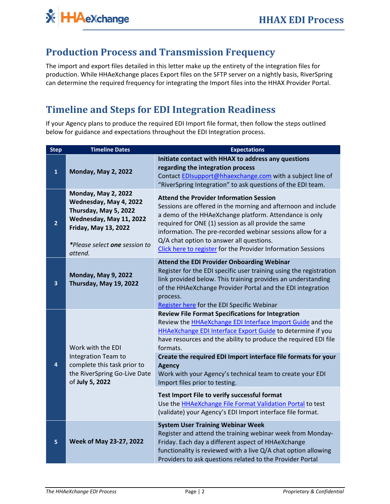# **Production Process and Transmission Frequency**

The import and export files detailed in this letter make up the entirety of the integration files for production. While HHAeXchange places Export files on the SFTP server on a nightly basis, RiverSpring can determine the required frequency for integrating the Import files into the HHAX Provider Portal.

# **Timeline and Steps for EDI Integration Readiness**

If your Agency plans to produce the required EDI Import file format, then follow the steps outlined below for guidance and expectations throughout the EDI Integration process.

| <b>Step</b>  | <b>Timeline Dates</b>                                                                                                                                                               | <b>Expectations</b>                                                                                                                                                                                                                                                                                                                                                                                                                                                                                                                                                      |
|--------------|-------------------------------------------------------------------------------------------------------------------------------------------------------------------------------------|--------------------------------------------------------------------------------------------------------------------------------------------------------------------------------------------------------------------------------------------------------------------------------------------------------------------------------------------------------------------------------------------------------------------------------------------------------------------------------------------------------------------------------------------------------------------------|
| $\mathbf{1}$ | <b>Monday, May 2, 2022</b>                                                                                                                                                          | Initiate contact with HHAX to address any questions<br>regarding the integration process<br>Contact EDIsupport@hhaexchange.com with a subject line of<br>"RiverSpring Integration" to ask questions of the EDI team.                                                                                                                                                                                                                                                                                                                                                     |
| 2            | <b>Monday, May 2, 2022</b><br>Wednesday, May 4, 2022<br>Thursday, May 5, 2022<br>Wednesday, May 11, 2022<br><b>Friday, May 13, 2022</b><br>*Please select one session to<br>attend. | <b>Attend the Provider Information Session</b><br>Sessions are offered in the morning and afternoon and include<br>a demo of the HHAeXchange platform. Attendance is only<br>required for ONE (1) session as all provide the same<br>information. The pre-recorded webinar sessions allow for a<br>Q/A chat option to answer all questions.<br>Click here to register for the Provider Information Sessions                                                                                                                                                              |
| 3            | <b>Monday, May 9, 2022</b><br>Thursday, May 19, 2022                                                                                                                                | <b>Attend the EDI Provider Onboarding Webinar</b><br>Register for the EDI specific user training using the registration<br>link provided below. This training provides an understanding<br>of the HHAeXchange Provider Portal and the EDI integration<br>process.<br>Register here for the EDI Specific Webinar                                                                                                                                                                                                                                                          |
| 4            | Work with the EDI<br>Integration Team to<br>complete this task prior to<br>the RiverSpring Go-Live Date<br>of July 5, 2022                                                          | <b>Review File Format Specifications for Integration</b><br>Review the <b>HHAeXchange EDI Interface Import Guide</b> and the<br>HHAeXchange EDI Interface Export Guide to determine if you<br>have resources and the ability to produce the required EDI file<br>formats.<br>Create the required EDI Import interface file formats for your<br><b>Agency</b><br>Work with your Agency's technical team to create your EDI<br>Import files prior to testing.<br>Test Import File to verify successful format<br>Use the HHAeXchange File Format Validation Portal to test |
| 5            | Week of May 23-27, 2022                                                                                                                                                             | (validate) your Agency's EDI Import interface file format.<br><b>System User Training Webinar Week</b><br>Register and attend the training webinar week from Monday-<br>Friday. Each day a different aspect of HHAeXchange<br>functionality is reviewed with a live Q/A chat option allowing<br>Providers to ask questions related to the Provider Portal                                                                                                                                                                                                                |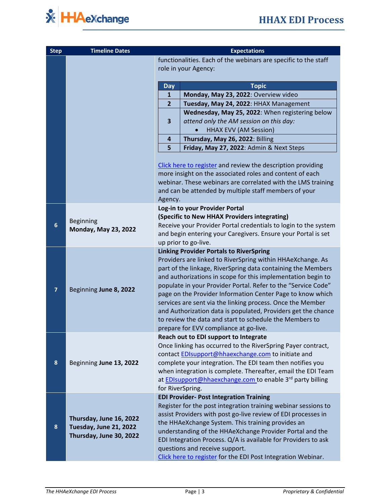

| <b>Step</b>             | <b>Timeline Dates</b>                                                        | <b>Expectations</b>                                                                     |                                                                                                                                                                                                                                                                                                                                                                                                                                                                                                                                                                                                                 |  |
|-------------------------|------------------------------------------------------------------------------|-----------------------------------------------------------------------------------------|-----------------------------------------------------------------------------------------------------------------------------------------------------------------------------------------------------------------------------------------------------------------------------------------------------------------------------------------------------------------------------------------------------------------------------------------------------------------------------------------------------------------------------------------------------------------------------------------------------------------|--|
|                         |                                                                              | functionalities. Each of the webinars are specific to the staff<br>role in your Agency: |                                                                                                                                                                                                                                                                                                                                                                                                                                                                                                                                                                                                                 |  |
|                         |                                                                              | <b>Day</b>                                                                              | <b>Topic</b>                                                                                                                                                                                                                                                                                                                                                                                                                                                                                                                                                                                                    |  |
|                         |                                                                              | $\mathbf{1}$                                                                            | Monday, May 23, 2022: Overview video                                                                                                                                                                                                                                                                                                                                                                                                                                                                                                                                                                            |  |
|                         |                                                                              | $\overline{2}$                                                                          | Tuesday, May 24, 2022: HHAX Management                                                                                                                                                                                                                                                                                                                                                                                                                                                                                                                                                                          |  |
|                         |                                                                              |                                                                                         | Wednesday, May 25, 2022: When registering below                                                                                                                                                                                                                                                                                                                                                                                                                                                                                                                                                                 |  |
|                         |                                                                              | 3                                                                                       | attend only the AM session on this day:                                                                                                                                                                                                                                                                                                                                                                                                                                                                                                                                                                         |  |
|                         |                                                                              |                                                                                         | <b>HHAX EVV (AM Session)</b>                                                                                                                                                                                                                                                                                                                                                                                                                                                                                                                                                                                    |  |
|                         |                                                                              | $\overline{a}$                                                                          | Thursday, May 26, 2022: Billing                                                                                                                                                                                                                                                                                                                                                                                                                                                                                                                                                                                 |  |
|                         |                                                                              | 5                                                                                       | Friday, May 27, 2022: Admin & Next Steps                                                                                                                                                                                                                                                                                                                                                                                                                                                                                                                                                                        |  |
|                         |                                                                              | Agency.                                                                                 | Click here to register and review the description providing<br>more insight on the associated roles and content of each<br>webinar. These webinars are correlated with the LMS training<br>and can be attended by multiple staff members of your                                                                                                                                                                                                                                                                                                                                                                |  |
|                         |                                                                              |                                                                                         | Log-in to your Provider Portal                                                                                                                                                                                                                                                                                                                                                                                                                                                                                                                                                                                  |  |
| 6                       | <b>Beginning</b><br><b>Monday, May 23, 2022</b>                              |                                                                                         | (Specific to New HHAX Providers integrating)                                                                                                                                                                                                                                                                                                                                                                                                                                                                                                                                                                    |  |
|                         |                                                                              |                                                                                         | Receive your Provider Portal credentials to login to the system                                                                                                                                                                                                                                                                                                                                                                                                                                                                                                                                                 |  |
|                         |                                                                              |                                                                                         | and begin entering your Caregivers. Ensure your Portal is set                                                                                                                                                                                                                                                                                                                                                                                                                                                                                                                                                   |  |
|                         |                                                                              |                                                                                         | up prior to go-live.                                                                                                                                                                                                                                                                                                                                                                                                                                                                                                                                                                                            |  |
| $\overline{\mathbf{z}}$ | Beginning June 8, 2022                                                       |                                                                                         | <b>Linking Provider Portals to RiverSpring</b><br>Providers are linked to RiverSpring within HHAeXchange. As<br>part of the linkage, RiverSpring data containing the Members<br>and authorizations in scope for this implementation begin to<br>populate in your Provider Portal. Refer to the "Service Code"<br>page on the Provider Information Center Page to know which<br>services are sent via the linking process. Once the Member<br>and Authorization data is populated, Providers get the chance<br>to review the data and start to schedule the Members to<br>prepare for EVV compliance at go-live. |  |
|                         |                                                                              |                                                                                         | Reach out to EDI support to Integrate                                                                                                                                                                                                                                                                                                                                                                                                                                                                                                                                                                           |  |
| 8                       | Beginning June 13, 2022                                                      | for RiverSpring.                                                                        | Once linking has occurred to the RiverSpring Payer contract,<br>contact EDIsupport@hhaexchange.com to initiate and<br>complete your integration. The EDI team then notifies you<br>when integration is complete. Thereafter, email the EDI Team<br>at <b>EDIsupport@hhaexchange.com</b> to enable 3 <sup>rd</sup> party billing                                                                                                                                                                                                                                                                                 |  |
|                         | Thursday, June 16, 2022<br>Tuesday, June 21, 2022<br>Thursday, June 30, 2022 |                                                                                         | <b>EDI Provider- Post Integration Training</b>                                                                                                                                                                                                                                                                                                                                                                                                                                                                                                                                                                  |  |
| 8                       |                                                                              |                                                                                         | Register for the post integration training webinar sessions to<br>assist Providers with post go-live review of EDI processes in<br>the HHAeXchange System. This training provides an<br>understanding of the HHAeXchange Provider Portal and the<br>EDI Integration Process. Q/A is available for Providers to ask<br>questions and receive support.<br>Click here to register for the EDI Post Integration Webinar.                                                                                                                                                                                            |  |
|                         |                                                                              |                                                                                         |                                                                                                                                                                                                                                                                                                                                                                                                                                                                                                                                                                                                                 |  |